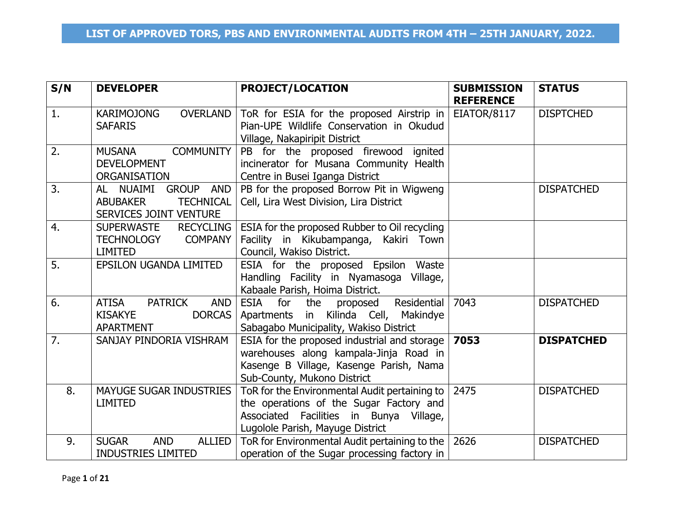| S/N              | <b>DEVELOPER</b>                             | <b>PROJECT/LOCATION</b>                                   | <b>SUBMISSION</b> | <b>STATUS</b>     |
|------------------|----------------------------------------------|-----------------------------------------------------------|-------------------|-------------------|
|                  |                                              |                                                           | <b>REFERENCE</b>  |                   |
| 1.               | <b>KARIMOJONG</b><br><b>OVERLAND</b>         | ToR for ESIA for the proposed Airstrip in $ $             | EIATOR/8117       | <b>DISPTCHED</b>  |
|                  | <b>SAFARIS</b>                               | Pian-UPE Wildlife Conservation in Okudud                  |                   |                   |
|                  |                                              | Village, Nakapiripit District                             |                   |                   |
| 2.               | <b>COMMUNITY</b><br><b>MUSANA</b>            | PB for the proposed firewood ignited                      |                   |                   |
|                  | <b>DEVELOPMENT</b>                           | incinerator for Musana Community Health                   |                   |                   |
|                  | <b>ORGANISATION</b>                          | Centre in Busei Iganga District                           |                   |                   |
| 3.               | AL NUAIMI GROUP AND                          | PB for the proposed Borrow Pit in Wigweng                 |                   | <b>DISPATCHED</b> |
|                  | <b>ABUBAKER</b><br><b>TECHNICAL</b>          | Cell, Lira West Division, Lira District                   |                   |                   |
|                  | SERVICES JOINT VENTURE                       |                                                           |                   |                   |
| 4.               | <b>RECYCLING</b><br><b>SUPERWASTE</b>        | ESIA for the proposed Rubber to Oil recycling             |                   |                   |
|                  | <b>COMPANY</b><br><b>TECHNOLOGY</b>          | Facility in Kikubampanga, Kakiri Town                     |                   |                   |
|                  | <b>LIMITED</b>                               | Council, Wakiso District.                                 |                   |                   |
| 5.               | EPSILON UGANDA LIMITED                       | ESIA for the proposed Epsilon Waste                       |                   |                   |
|                  |                                              | Handling Facility in Nyamasoga Village,                   |                   |                   |
|                  |                                              | Kabaale Parish, Hoima District.                           |                   |                   |
| 6.               | <b>ATISA</b><br><b>PATRICK</b><br><b>AND</b> | Residential<br>ESIA for the proposed                      | 7043              | <b>DISPATCHED</b> |
|                  | <b>KISAKYE</b><br><b>DORCAS</b>              | Apartments in Kilinda Cell, Makindye                      |                   |                   |
|                  | <b>APARTMENT</b>                             | Sabagabo Municipality, Wakiso District                    |                   |                   |
| $\overline{7}$ . | SANJAY PINDORIA VISHRAM                      | ESIA for the proposed industrial and storage $\vert$ 7053 |                   | <b>DISPATCHED</b> |
|                  |                                              | warehouses along kampala-Jinja Road in                    |                   |                   |
|                  |                                              | Kasenge B Village, Kasenge Parish, Nama                   |                   |                   |
|                  |                                              | Sub-County, Mukono District                               |                   |                   |
| 8.               | <b>MAYUGE SUGAR INDUSTRIES</b>               | ToR for the Environmental Audit pertaining to             | 2475              | <b>DISPATCHED</b> |
|                  | <b>LIMITED</b>                               | the operations of the Sugar Factory and                   |                   |                   |
|                  |                                              | Associated Facilities in Bunya Village,                   |                   |                   |
|                  |                                              | Lugolole Parish, Mayuge District                          |                   |                   |
| 9.               | <b>SUGAR</b><br><b>ALLIED</b><br><b>AND</b>  | ToR for Environmental Audit pertaining to the   2626      |                   | <b>DISPATCHED</b> |
|                  | <b>INDUSTRIES LIMITED</b>                    | operation of the Sugar processing factory in              |                   |                   |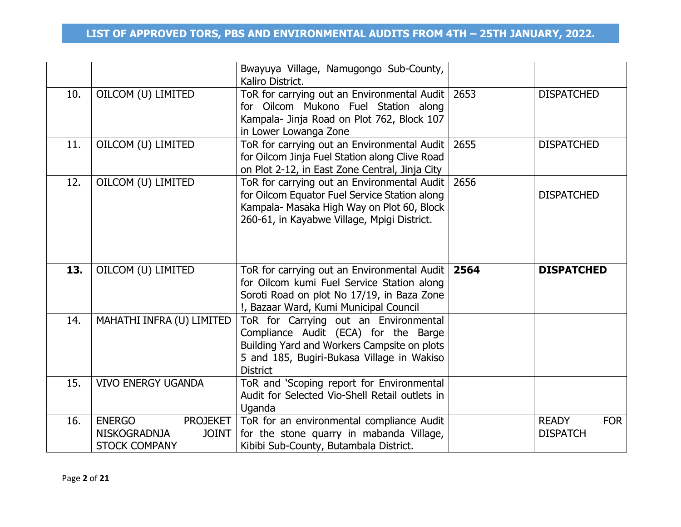|     |                           | Bwayuya Village, Namugongo Sub-County,<br>Kaliro District.                                                                                                                                    |      |                   |
|-----|---------------------------|-----------------------------------------------------------------------------------------------------------------------------------------------------------------------------------------------|------|-------------------|
| 10. | OILCOM (U) LIMITED        | ToR for carrying out an Environmental Audit  <br>for Oilcom Mukono Fuel Station along<br>Kampala- Jinja Road on Plot 762, Block 107<br>in Lower Lowanga Zone                                  | 2653 | <b>DISPATCHED</b> |
| 11. | OILCOM (U) LIMITED        | ToR for carrying out an Environmental Audit<br>for Oilcom Jinja Fuel Station along Clive Road<br>on Plot 2-12, in East Zone Central, Jinja City                                               | 2655 | <b>DISPATCHED</b> |
| 12. | OILCOM (U) LIMITED        | ToR for carrying out an Environmental Audit<br>for Oilcom Equator Fuel Service Station along<br>Kampala- Masaka High Way on Plot 60, Block<br>260-61, in Kayabwe Village, Mpigi District.     | 2656 | <b>DISPATCHED</b> |
| 13. | OILCOM (U) LIMITED        | ToR for carrying out an Environmental Audit<br>for Oilcom kumi Fuel Service Station along<br>Soroti Road on plot No 17/19, in Baza Zone<br>!, Bazaar Ward, Kumi Municipal Council             | 2564 | <b>DISPATCHED</b> |
| 14. | MAHATHI INFRA (U) LIMITED | ToR for Carrying out an Environmental<br>Compliance Audit (ECA) for the Barge<br>Building Yard and Workers Campsite on plots<br>5 and 185, Bugiri-Bukasa Village in Wakiso<br><b>District</b> |      |                   |
| 15. | <b>VIVO ENERGY UGANDA</b> | ToR and 'Scoping report for Environmental<br>Audit for Selected Vio-Shell Retail outlets in<br>Uganda                                                                                         |      |                   |
| 16. |                           |                                                                                                                                                                                               |      |                   |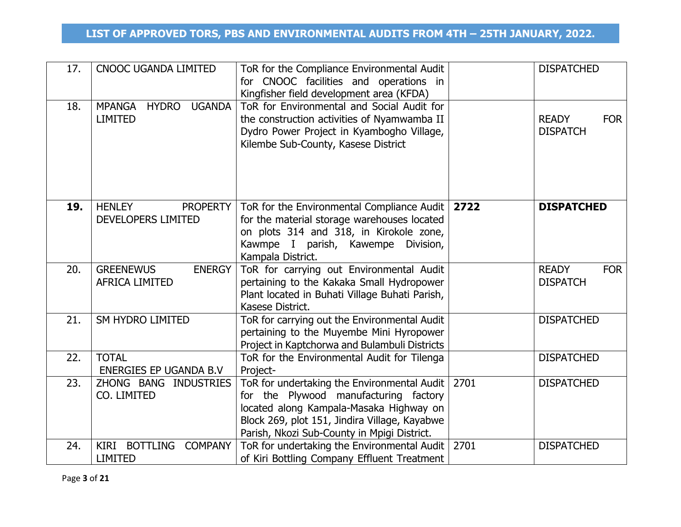| 17. | <b>CNOOC UGANDA LIMITED</b>                                      | ToR for the Compliance Environmental Audit<br>for CNOOC facilities and operations in<br>Kingfisher field development area (KFDA)                                                                                                |      | <b>DISPATCHED</b>                             |
|-----|------------------------------------------------------------------|---------------------------------------------------------------------------------------------------------------------------------------------------------------------------------------------------------------------------------|------|-----------------------------------------------|
| 18. | <b>MPANGA</b><br><b>HYDRO</b><br><b>UGANDA</b><br><b>LIMITED</b> | ToR for Environmental and Social Audit for<br>the construction activities of Nyamwamba II<br>Dydro Power Project in Kyambogho Village,<br>Kilembe Sub-County, Kasese District                                                   |      | <b>READY</b><br><b>FOR</b><br><b>DISPATCH</b> |
| 19. | <b>HENLEY</b><br><b>PROPERTY</b><br>DEVELOPERS LIMITED           | ToR for the Environmental Compliance Audit  <br>for the material storage warehouses located<br>on plots 314 and 318, in Kirokole zone,<br>Kawmpe I parish, Kawempe<br>Division,<br>Kampala District.                            | 2722 | <b>DISPATCHED</b>                             |
| 20. | <b>GREENEWUS</b><br><b>ENERGY</b><br><b>AFRICA LIMITED</b>       | ToR for carrying out Environmental Audit<br>pertaining to the Kakaka Small Hydropower<br>Plant located in Buhati Village Buhati Parish,<br>Kasese District.                                                                     |      | <b>READY</b><br><b>FOR</b><br><b>DISPATCH</b> |
| 21. | <b>SM HYDRO LIMITED</b>                                          | ToR for carrying out the Environmental Audit<br>pertaining to the Muyembe Mini Hyropower<br>Project in Kaptchorwa and Bulambuli Districts                                                                                       |      | <b>DISPATCHED</b>                             |
| 22. | <b>TOTAL</b><br>ENERGIES EP UGANDA B.V                           | ToR for the Environmental Audit for Tilenga<br>Project-                                                                                                                                                                         |      | <b>DISPATCHED</b>                             |
| 23. | ZHONG BANG INDUSTRIES<br>CO. LIMITED                             | ToR for undertaking the Environmental Audit<br>for the Plywood manufacturing factory<br>located along Kampala-Masaka Highway on<br>Block 269, plot 151, Jindira Village, Kayabwe<br>Parish, Nkozi Sub-County in Mpigi District. | 2701 | <b>DISPATCHED</b>                             |
| 24. | KIRI BOTTLING COMPANY<br><b>LIMITED</b>                          | ToR for undertaking the Environmental Audit<br>of Kiri Bottling Company Effluent Treatment                                                                                                                                      | 2701 | <b>DISPATCHED</b>                             |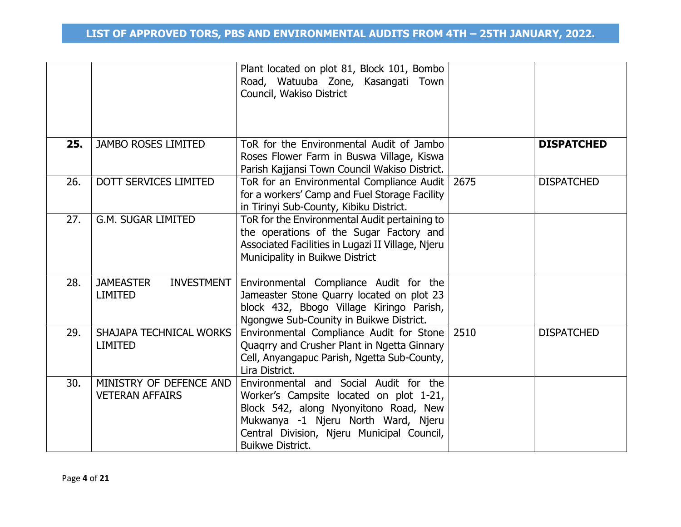|     |                                                         | Plant located on plot 81, Block 101, Bombo<br>Road, Watuuba Zone, Kasangati Town<br>Council, Wakiso District                                                                                                                               |      |                   |
|-----|---------------------------------------------------------|--------------------------------------------------------------------------------------------------------------------------------------------------------------------------------------------------------------------------------------------|------|-------------------|
| 25. | <b>JAMBO ROSES LIMITED</b>                              | ToR for the Environmental Audit of Jambo<br>Roses Flower Farm in Buswa Village, Kiswa<br>Parish Kajjansi Town Council Wakiso District.                                                                                                     |      | <b>DISPATCHED</b> |
| 26. | <b>DOTT SERVICES LIMITED</b>                            | ToR for an Environmental Compliance Audit   2675<br>for a workers' Camp and Fuel Storage Facility<br>in Tirinyi Sub-County, Kibiku District.                                                                                               |      | <b>DISPATCHED</b> |
| 27. | <b>G.M. SUGAR LIMITED</b>                               | ToR for the Environmental Audit pertaining to<br>the operations of the Sugar Factory and<br>Associated Facilities in Lugazi II Village, Njeru<br>Municipality in Buikwe District                                                           |      |                   |
| 28. | <b>JAMEASTER</b><br><b>INVESTMENT</b><br><b>LIMITED</b> | Environmental Compliance Audit for the<br>Jameaster Stone Quarry located on plot 23<br>block 432, Bbogo Village Kiringo Parish,<br>Ngongwe Sub-Counity in Buikwe District.                                                                 |      |                   |
| 29. | <b>SHAJAPA TECHNICAL WORKS</b><br><b>LIMITED</b>        | Environmental Compliance Audit for Stone<br>Quagrry and Crusher Plant in Ngetta Ginnary<br>Cell, Anyangapuc Parish, Ngetta Sub-County,<br>Lira District.                                                                                   | 2510 | <b>DISPATCHED</b> |
| 30. | MINISTRY OF DEFENCE AND<br><b>VETERAN AFFAIRS</b>       | Environmental and Social Audit for the<br>Worker's Campsite located on plot 1-21,<br>Block 542, along Nyonyitono Road, New<br>Mukwanya -1 Njeru North Ward, Njeru<br>Central Division, Njeru Municipal Council,<br><b>Buikwe District.</b> |      |                   |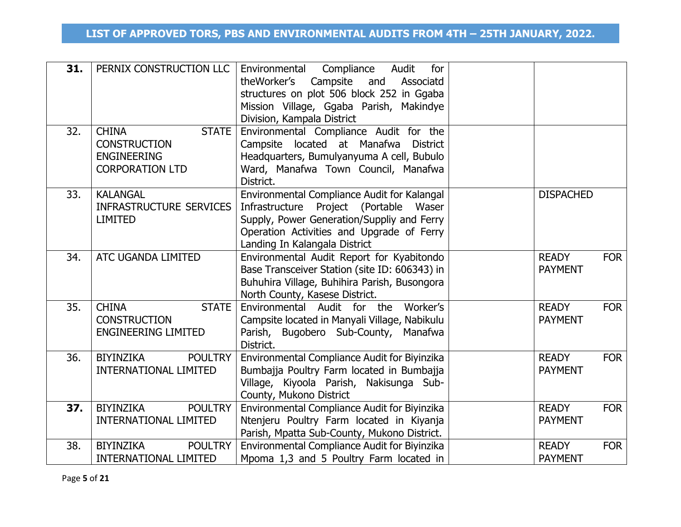| 31. | PERNIX CONSTRUCTION LLC                                                                             | Compliance<br>Environmental<br>Audit<br>for<br>theWorker's Campsite<br>and<br>Associatd<br>structures on plot 506 block 252 in Ggaba<br>Mission Village, Ggaba Parish, Makindye<br>Division, Kampala District     |                                |            |
|-----|-----------------------------------------------------------------------------------------------------|-------------------------------------------------------------------------------------------------------------------------------------------------------------------------------------------------------------------|--------------------------------|------------|
| 32. | <b>CHINA</b><br><b>STATE</b><br><b>CONSTRUCTION</b><br><b>ENGINEERING</b><br><b>CORPORATION LTD</b> | Environmental Compliance Audit for the<br>Campsite located at Manafwa District<br>Headquarters, Bumulyanyuma A cell, Bubulo<br>Ward, Manafwa Town Council, Manafwa<br>District.                                   |                                |            |
| 33. | <b>KALANGAL</b><br><b>INFRASTRUCTURE SERVICES</b><br><b>LIMITED</b>                                 | Environmental Compliance Audit for Kalangal<br>Infrastructure Project (Portable Waser<br>Supply, Power Generation/Suppliy and Ferry<br>Operation Activities and Upgrade of Ferry<br>Landing In Kalangala District | <b>DISPACHED</b>               |            |
| 34. | ATC UGANDA LIMITED                                                                                  | Environmental Audit Report for Kyabitondo<br>Base Transceiver Station (site ID: 606343) in<br>Buhuhira Village, Buhihira Parish, Busongora<br>North County, Kasese District.                                      | <b>READY</b><br><b>PAYMENT</b> | <b>FOR</b> |
| 35. | <b>CHINA</b><br><b>STATE</b><br><b>CONSTRUCTION</b><br><b>ENGINEERING LIMITED</b>                   | Environmental Audit for the Worker's<br>Campsite located in Manyali Village, Nabikulu<br>Parish, Bugobero Sub-County, Manafwa<br>District.                                                                        | <b>READY</b><br><b>PAYMENT</b> | <b>FOR</b> |
| 36. | <b>BIYINZIKA</b><br><b>POULTRY</b><br><b>INTERNATIONAL LIMITED</b>                                  | Environmental Compliance Audit for Biyinzika<br>Bumbajja Poultry Farm located in Bumbajja<br>Village, Kiyoola Parish, Nakisunga Sub-<br>County, Mukono District                                                   | <b>READY</b><br><b>PAYMENT</b> | <b>FOR</b> |
| 37. | BIYINZIKA<br><b>POULTRY</b><br><b>INTERNATIONAL LIMITED</b>                                         | Environmental Compliance Audit for Biyinzika<br>Ntenjeru Poultry Farm located in Kiyanja<br>Parish, Mpatta Sub-County, Mukono District.                                                                           | <b>READY</b><br><b>PAYMENT</b> | <b>FOR</b> |
| 38. | <b>BIYINZIKA</b><br><b>POULTRY</b><br><b>INTERNATIONAL LIMITED</b>                                  | Environmental Compliance Audit for Biyinzika<br>Mpoma 1,3 and 5 Poultry Farm located in                                                                                                                           | <b>READY</b><br><b>PAYMENT</b> | <b>FOR</b> |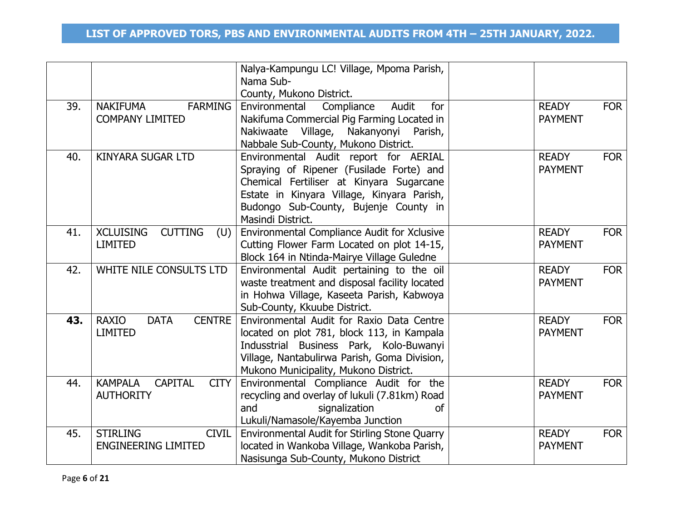|     |                                                                     | Nalya-Kampungu LC! Village, Mpoma Parish,<br>Nama Sub-                                 |                                |            |
|-----|---------------------------------------------------------------------|----------------------------------------------------------------------------------------|--------------------------------|------------|
|     |                                                                     | County, Mukono District.                                                               |                                |            |
| 39. | <b>NAKIFUMA</b><br><b>FARMING</b>                                   | Environmental<br>Compliance<br>Audit<br>for                                            | <b>READY</b>                   | <b>FOR</b> |
|     | <b>COMPANY LIMITED</b>                                              | Nakifuma Commercial Pig Farming Located in                                             | <b>PAYMENT</b>                 |            |
|     |                                                                     | Nakiwaate Village, Nakanyonyi Parish,                                                  |                                |            |
|     |                                                                     | Nabbale Sub-County, Mukono District.                                                   |                                |            |
| 40. | <b>KINYARA SUGAR LTD</b>                                            | Environmental Audit report for AERIAL                                                  | <b>READY</b>                   | <b>FOR</b> |
|     |                                                                     | Spraying of Ripener (Fusilade Forte) and                                               | <b>PAYMENT</b>                 |            |
|     |                                                                     | Chemical Fertiliser at Kinyara Sugarcane                                               |                                |            |
|     |                                                                     | Estate in Kinyara Village, Kinyara Parish,                                             |                                |            |
|     |                                                                     | Budongo Sub-County, Bujenje County in<br>Masindi District.                             |                                |            |
| 41. | <b>XCLUISING</b><br><b>CUTTING</b><br>(U)                           | Environmental Compliance Audit for Xclusive                                            | <b>READY</b>                   | <b>FOR</b> |
|     | <b>LIMITED</b>                                                      | Cutting Flower Farm Located on plot 14-15,                                             | <b>PAYMENT</b>                 |            |
|     |                                                                     | Block 164 in Ntinda-Mairye Village Guledne                                             |                                |            |
| 42. | WHITE NILE CONSULTS LTD                                             | Environmental Audit pertaining to the oil                                              | <b>READY</b>                   | <b>FOR</b> |
|     |                                                                     | waste treatment and disposal facility located                                          | <b>PAYMENT</b>                 |            |
|     |                                                                     | in Hohwa Village, Kaseeta Parish, Kabwoya                                              |                                |            |
|     |                                                                     | Sub-County, Kkuube District.                                                           |                                |            |
| 43. | <b>CENTRE</b><br><b>RAXIO</b><br><b>DATA</b>                        | Environmental Audit for Raxio Data Centre                                              | <b>READY</b>                   | <b>FOR</b> |
|     | <b>LIMITED</b>                                                      | located on plot 781, block 113, in Kampala                                             | <b>PAYMENT</b>                 |            |
|     |                                                                     | Indusstrial Business Park, Kolo-Buwanyi                                                |                                |            |
|     |                                                                     | Village, Nantabulirwa Parish, Goma Division,                                           |                                |            |
|     |                                                                     | Mukono Municipality, Mukono District.                                                  |                                |            |
| 44. | <b>KAMPALA</b><br><b>CAPITAL</b><br><b>CITY</b><br><b>AUTHORITY</b> | Environmental Compliance Audit for the                                                 | <b>READY</b><br><b>PAYMENT</b> | <b>FOR</b> |
|     |                                                                     | recycling and overlay of lukuli (7.81km) Road<br>and<br>signalization<br><sub>of</sub> |                                |            |
|     |                                                                     | Lukuli/Namasole/Kayemba Junction                                                       |                                |            |
| 45. | <b>STIRLING</b><br><b>CIVIL</b>                                     | Environmental Audit for Stirling Stone Quarry                                          | <b>READY</b>                   | <b>FOR</b> |
|     | <b>ENGINEERING LIMITED</b>                                          | located in Wankoba Village, Wankoba Parish,                                            | <b>PAYMENT</b>                 |            |
|     |                                                                     | Nasisunga Sub-County, Mukono District                                                  |                                |            |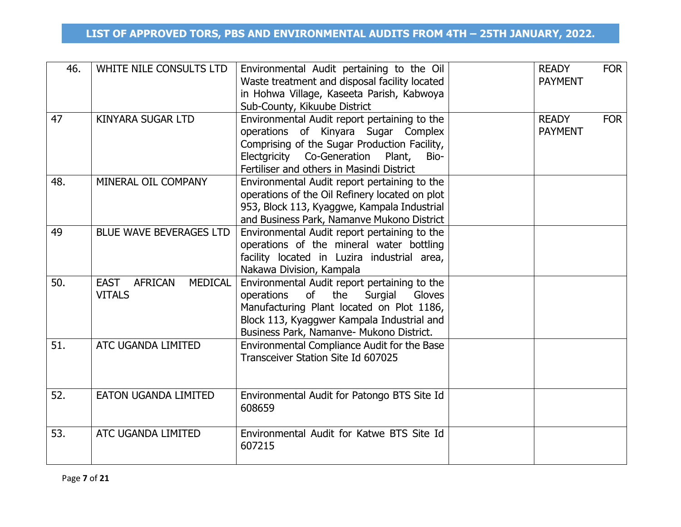| 46. | WHITE NILE CONSULTS LTD                                          | Environmental Audit pertaining to the Oil<br>Waste treatment and disposal facility located<br>in Hohwa Village, Kaseeta Parish, Kabwoya<br>Sub-County, Kikuube District                                                             | <b>READY</b><br><b>PAYMENT</b> | <b>FOR</b> |
|-----|------------------------------------------------------------------|-------------------------------------------------------------------------------------------------------------------------------------------------------------------------------------------------------------------------------------|--------------------------------|------------|
| 47  | <b>KINYARA SUGAR LTD</b>                                         | Environmental Audit report pertaining to the<br>operations of Kinyara Sugar Complex<br>Comprising of the Sugar Production Facility,<br>Electgricity Co-Generation Plant,<br>Bio-<br>Fertiliser and others in Masindi District       | <b>READY</b><br><b>PAYMENT</b> | <b>FOR</b> |
| 48. | MINERAL OIL COMPANY                                              | Environmental Audit report pertaining to the<br>operations of the Oil Refinery located on plot<br>953, Block 113, Kyaggwe, Kampala Industrial<br>and Business Park, Namanve Mukono District                                         |                                |            |
| 49  | <b>BLUE WAVE BEVERAGES LTD</b>                                   | Environmental Audit report pertaining to the<br>operations of the mineral water bottling<br>facility located in Luzira industrial area,<br>Nakawa Division, Kampala                                                                 |                                |            |
| 50. | <b>AFRICAN</b><br><b>MEDICAL</b><br><b>EAST</b><br><b>VITALS</b> | Environmental Audit report pertaining to the<br>of<br>the<br>Surgial<br>operations<br>Gloves<br>Manufacturing Plant located on Plot 1186,<br>Block 113, Kyaggwer Kampala Industrial and<br>Business Park, Namanve- Mukono District. |                                |            |
| 51. | ATC UGANDA LIMITED                                               | Environmental Compliance Audit for the Base<br>Transceiver Station Site Id 607025                                                                                                                                                   |                                |            |
| 52. | <b>EATON UGANDA LIMITED</b>                                      | Environmental Audit for Patongo BTS Site Id<br>608659                                                                                                                                                                               |                                |            |
| 53. | ATC UGANDA LIMITED                                               | Environmental Audit for Katwe BTS Site Id<br>607215                                                                                                                                                                                 |                                |            |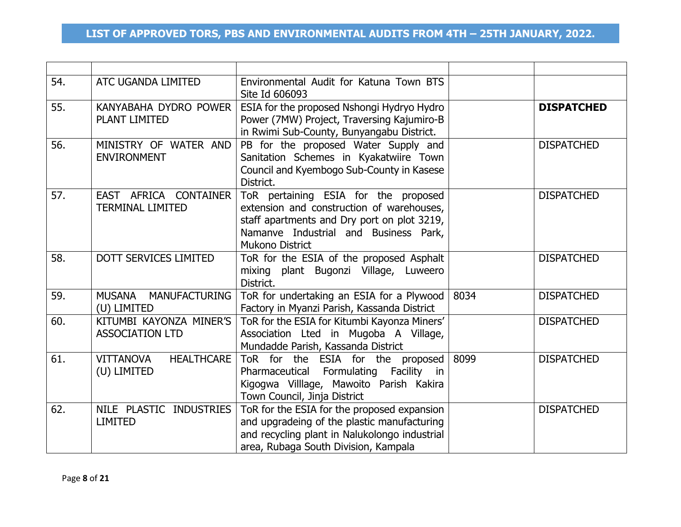| 54. | ATC UGANDA LIMITED                                   | Environmental Audit for Katuna Town BTS<br>Site Id 606093                                                                                                                                           |      |                   |
|-----|------------------------------------------------------|-----------------------------------------------------------------------------------------------------------------------------------------------------------------------------------------------------|------|-------------------|
| 55. | KANYABAHA DYDRO POWER<br><b>PLANT LIMITED</b>        | ESIA for the proposed Nshongi Hydryo Hydro<br>Power (7MW) Project, Traversing Kajumiro-B<br>in Rwimi Sub-County, Bunyangabu District.                                                               |      | <b>DISPATCHED</b> |
| 56. | MINISTRY OF WATER AND<br><b>ENVIRONMENT</b>          | PB for the proposed Water Supply and<br>Sanitation Schemes in Kyakatwiire Town<br>Council and Kyembogo Sub-County in Kasese<br>District.                                                            |      | <b>DISPATCHED</b> |
| 57. | EAST AFRICA CONTAINER<br><b>TERMINAL LIMITED</b>     | ToR pertaining ESIA for the proposed<br>extension and construction of warehouses,<br>staff apartments and Dry port on plot 3219,<br>Namanve Industrial and Business Park,<br><b>Mukono District</b> |      | <b>DISPATCHED</b> |
| 58. | DOTT SERVICES LIMITED                                | ToR for the ESIA of the proposed Asphalt<br>mixing plant Bugonzi Village, Luweero<br>District.                                                                                                      |      | <b>DISPATCHED</b> |
| 59. | MUSANA MANUFACTURING<br>(U) LIMITED                  | ToR for undertaking an ESIA for a Plywood  <br>Factory in Myanzi Parish, Kassanda District                                                                                                          | 8034 | <b>DISPATCHED</b> |
| 60. | KITUMBI KAYONZA MINER'S<br><b>ASSOCIATION LTD</b>    | ToR for the ESIA for Kitumbi Kayonza Miners'<br>Association Lted in Mugoba A Village,<br>Mundadde Parish, Kassanda District                                                                         |      | <b>DISPATCHED</b> |
| 61. | <b>VITTANOVA</b><br><b>HEALTHCARE</b><br>(U) LIMITED | ToR for the ESIA for the proposed<br>Pharmaceutical Formulating Facility in<br>Kigogwa Villlage, Mawoito Parish Kakira<br>Town Council, Jinja District                                              | 8099 | <b>DISPATCHED</b> |
| 62. | NILE PLASTIC INDUSTRIES<br><b>LIMITED</b>            | ToR for the ESIA for the proposed expansion<br>and upgradeing of the plastic manufacturing<br>and recycling plant in Nalukolongo industrial<br>area, Rubaga South Division, Kampala                 |      | <b>DISPATCHED</b> |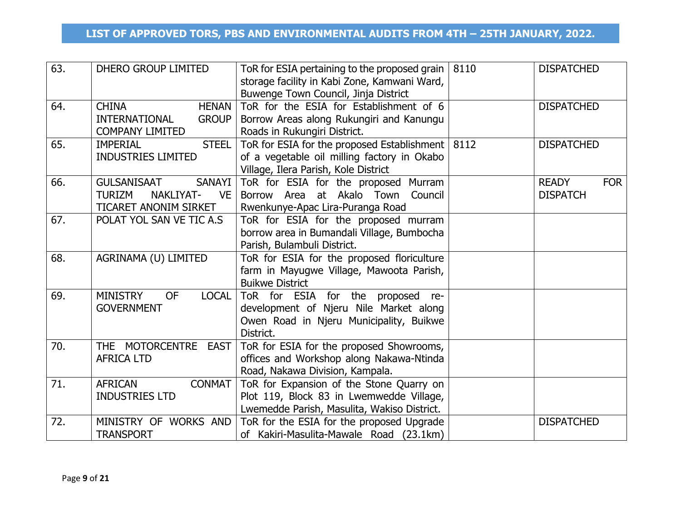| 63. | DHERO GROUP LIMITED                                       | ToR for ESIA pertaining to the proposed grain  <br>storage facility in Kabi Zone, Kamwani Ward,<br>Buwenge Town Council, Jinja District | 8110 | <b>DISPATCHED</b>          |
|-----|-----------------------------------------------------------|-----------------------------------------------------------------------------------------------------------------------------------------|------|----------------------------|
| 64. | <b>CHINA</b><br><b>HENAN</b>                              | ToR for the ESIA for Establishment of 6                                                                                                 |      | <b>DISPATCHED</b>          |
|     | <b>INTERNATIONAL</b><br><b>GROUP</b>                      | Borrow Areas along Rukungiri and Kanungu                                                                                                |      |                            |
| 65. | <b>COMPANY LIMITED</b><br><b>STEEL</b><br><b>IMPERIAL</b> | Roads in Rukungiri District.<br>ToR for ESIA for the proposed Establishment   8112                                                      |      | <b>DISPATCHED</b>          |
|     | <b>INDUSTRIES LIMITED</b>                                 | of a vegetable oil milling factory in Okabo                                                                                             |      |                            |
|     |                                                           | Village, Ilera Parish, Kole District                                                                                                    |      |                            |
| 66. | SANAYI<br><b>GULSANISAAT</b>                              | ToR for ESIA for the proposed Murram                                                                                                    |      | <b>READY</b><br><b>FOR</b> |
|     | NAKLIYAT-<br><b>TURIZM</b><br><b>VE</b>                   | at Akalo Town<br>Borrow Area<br>Council                                                                                                 |      | <b>DISPATCH</b>            |
|     | TICARET ANONIM SIRKET                                     | Rwenkunye-Apac Lira-Puranga Road                                                                                                        |      |                            |
| 67. | POLAT YOL SAN VE TIC A.S                                  | ToR for ESIA for the proposed murram                                                                                                    |      |                            |
|     |                                                           | borrow area in Bumandali Village, Bumbocha                                                                                              |      |                            |
|     |                                                           | Parish, Bulambuli District.                                                                                                             |      |                            |
| 68. | AGRINAMA (U) LIMITED                                      | ToR for ESIA for the proposed floriculture                                                                                              |      |                            |
|     |                                                           | farm in Mayugwe Village, Mawoota Parish,                                                                                                |      |                            |
| 69. | <b>MINISTRY</b><br><b>LOCAL</b><br><b>OF</b>              | <b>Buikwe District</b>                                                                                                                  |      |                            |
|     | <b>GOVERNMENT</b>                                         | ToR for ESIA for the proposed<br>re-<br>development of Njeru Nile Market along                                                          |      |                            |
|     |                                                           | Owen Road in Njeru Municipality, Buikwe                                                                                                 |      |                            |
|     |                                                           | District.                                                                                                                               |      |                            |
| 70. | THE MOTORCENTRE EAST                                      | ToR for ESIA for the proposed Showrooms,                                                                                                |      |                            |
|     | <b>AFRICA LTD</b>                                         | offices and Workshop along Nakawa-Ntinda                                                                                                |      |                            |
|     |                                                           | Road, Nakawa Division, Kampala.                                                                                                         |      |                            |
| 71. | <b>AFRICAN</b><br><b>CONMAT</b>                           | ToR for Expansion of the Stone Quarry on                                                                                                |      |                            |
|     | <b>INDUSTRIES LTD</b>                                     | Plot 119, Block 83 in Lwemwedde Village,                                                                                                |      |                            |
|     |                                                           | Lwemedde Parish, Masulita, Wakiso District.                                                                                             |      |                            |
| 72. | MINISTRY OF WORKS AND                                     | ToR for the ESIA for the proposed Upgrade                                                                                               |      | <b>DISPATCHED</b>          |
|     | <b>TRANSPORT</b>                                          | of Kakiri-Masulita-Mawale Road (23.1km)                                                                                                 |      |                            |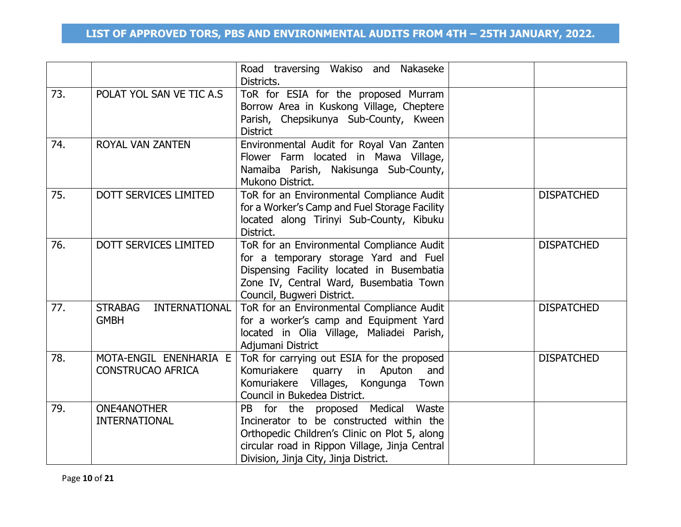|     |                                                    | Road traversing Wakiso and Nakaseke<br>Districts.                                                                                                                                                                         |                   |
|-----|----------------------------------------------------|---------------------------------------------------------------------------------------------------------------------------------------------------------------------------------------------------------------------------|-------------------|
| 73. | POLAT YOL SAN VE TIC A.S                           | ToR for ESIA for the proposed Murram<br>Borrow Area in Kuskong Village, Cheptere<br>Parish, Chepsikunya Sub-County, Kween<br><b>District</b>                                                                              |                   |
| 74. | ROYAL VAN ZANTEN                                   | Environmental Audit for Royal Van Zanten<br>Flower Farm located in Mawa Village,<br>Namaiba Parish, Nakisunga Sub-County,<br>Mukono District.                                                                             |                   |
| 75. | DOTT SERVICES LIMITED                              | ToR for an Environmental Compliance Audit<br>for a Worker's Camp and Fuel Storage Facility<br>located along Tirinyi Sub-County, Kibuku<br>District.                                                                       | <b>DISPATCHED</b> |
| 76. | <b>DOTT SERVICES LIMITED</b>                       | ToR for an Environmental Compliance Audit<br>for a temporary storage Yard and Fuel<br>Dispensing Facility located in Busembatia<br>Zone IV, Central Ward, Busembatia Town<br>Council, Bugweri District.                   | <b>DISPATCHED</b> |
| 77. | INTERNATIONAL<br><b>STRABAG</b><br><b>GMBH</b>     | ToR for an Environmental Compliance Audit<br>for a worker's camp and Equipment Yard<br>located in Olia Village, Maliadei Parish,<br>Adjumani District                                                                     | <b>DISPATCHED</b> |
| 78. | MOTA-ENGIL ENENHARIA E<br><b>CONSTRUCAO AFRICA</b> | ToR for carrying out ESIA for the proposed<br>Komuriakere quarry in Aputon<br>and<br>Komuriakere Villages, Kongunga Town<br>Council in Bukedea District.                                                                  | <b>DISPATCHED</b> |
| 79. | <b>ONE4ANOTHER</b><br><b>INTERNATIONAL</b>         | PB for the proposed Medical Waste<br>Incinerator to be constructed within the<br>Orthopedic Children's Clinic on Plot 5, along<br>circular road in Rippon Village, Jinja Central<br>Division, Jinja City, Jinja District. |                   |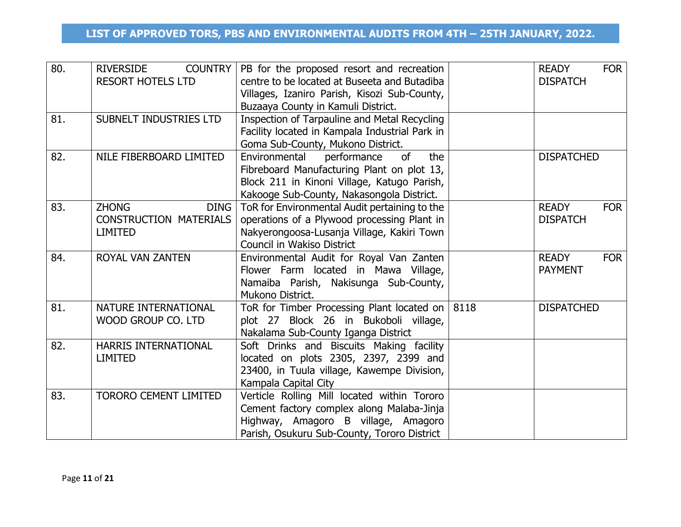| 80. | <b>RIVERSIDE</b><br><b>COUNTRY</b><br><b>RESORT HOTELS LTD</b>                 | PB for the proposed resort and recreation<br>centre to be located at Buseeta and Butadiba<br>Villages, Izaniro Parish, Kisozi Sub-County,<br>Buzaaya County in Kamuli District.     | <b>READY</b><br><b>FOR</b><br><b>DISPATCH</b> |
|-----|--------------------------------------------------------------------------------|-------------------------------------------------------------------------------------------------------------------------------------------------------------------------------------|-----------------------------------------------|
| 81. | SUBNELT INDUSTRIES LTD                                                         | Inspection of Tarpauline and Metal Recycling<br>Facility located in Kampala Industrial Park in<br>Goma Sub-County, Mukono District.                                                 |                                               |
| 82. | NILE FIBERBOARD LIMITED                                                        | Environmental<br>performance<br>of<br>the<br>Fibreboard Manufacturing Plant on plot 13,<br>Block 211 in Kinoni Village, Katugo Parish,<br>Kakooge Sub-County, Nakasongola District. | <b>DISPATCHED</b>                             |
| 83. | <b>ZHONG</b><br><b>DING</b><br><b>CONSTRUCTION MATERIALS</b><br><b>LIMITED</b> | ToR for Environmental Audit pertaining to the<br>operations of a Plywood processing Plant in<br>Nakyerongoosa-Lusanja Village, Kakiri Town<br>Council in Wakiso District            | <b>READY</b><br><b>FOR</b><br><b>DISPATCH</b> |
| 84. | <b>ROYAL VAN ZANTEN</b>                                                        | Environmental Audit for Royal Van Zanten<br>Flower Farm located in Mawa Village,<br>Namaiba Parish, Nakisunga Sub-County,<br>Mukono District.                                       | <b>READY</b><br><b>FOR</b><br><b>PAYMENT</b>  |
| 81. | NATURE INTERNATIONAL<br>WOOD GROUP CO. LTD                                     | ToR for Timber Processing Plant located on $ 8118\rangle$<br>plot 27 Block 26 in Bukoboli village,<br>Nakalama Sub-County Iganga District                                           | <b>DISPATCHED</b>                             |
| 82. | HARRIS INTERNATIONAL<br><b>LIMITED</b>                                         | Soft Drinks and Biscuits Making facility<br>located on plots 2305, 2397, 2399 and<br>23400, in Tuula village, Kawempe Division,<br>Kampala Capital City                             |                                               |
| 83. | <b>TORORO CEMENT LIMITED</b>                                                   | Verticle Rolling Mill located within Tororo<br>Cement factory complex along Malaba-Jinja<br>Highway, Amagoro B village, Amagoro<br>Parish, Osukuru Sub-County, Tororo District      |                                               |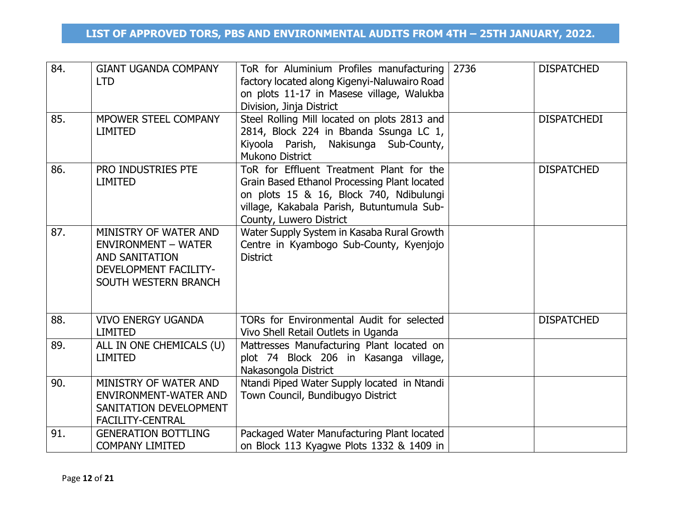| 84.<br>85. | <b>GIANT UGANDA COMPANY</b><br><b>LTD</b><br>MPOWER STEEL COMPANY                                                                    | ToR for Aluminium Profiles manufacturing<br>factory located along Kigenyi-Naluwairo Road<br>on plots 11-17 in Masese village, Walukba<br>Division, Jinja District<br>Steel Rolling Mill located on plots 2813 and | 2736 | <b>DISPATCHED</b><br><b>DISPATCHEDI</b> |
|------------|--------------------------------------------------------------------------------------------------------------------------------------|-------------------------------------------------------------------------------------------------------------------------------------------------------------------------------------------------------------------|------|-----------------------------------------|
|            | <b>LIMITED</b>                                                                                                                       | 2814, Block 224 in Bbanda Ssunga LC 1,<br>Kiyoola Parish, Nakisunga Sub-County,<br><b>Mukono District</b>                                                                                                         |      |                                         |
| 86.        | PRO INDUSTRIES PTE<br><b>LIMITED</b>                                                                                                 | ToR for Effluent Treatment Plant for the<br>Grain Based Ethanol Processing Plant located<br>on plots 15 & 16, Block 740, Ndibulungi<br>village, Kakabala Parish, Butuntumula Sub-<br>County, Luwero District      |      | <b>DISPATCHED</b>                       |
| 87.        | MINISTRY OF WATER AND<br><b>ENVIRONMENT - WATER</b><br><b>AND SANITATION</b><br><b>DEVELOPMENT FACILITY-</b><br>SOUTH WESTERN BRANCH | Water Supply System in Kasaba Rural Growth<br>Centre in Kyambogo Sub-County, Kyenjojo<br><b>District</b>                                                                                                          |      |                                         |
| 88.        | <b>VIVO ENERGY UGANDA</b><br><b>LIMITED</b>                                                                                          | TORs for Environmental Audit for selected<br>Vivo Shell Retail Outlets in Uganda                                                                                                                                  |      | <b>DISPATCHED</b>                       |
| 89.        | ALL IN ONE CHEMICALS (U)<br><b>LIMITED</b>                                                                                           | Mattresses Manufacturing Plant located on<br>plot 74 Block 206 in Kasanga village,<br>Nakasongola District                                                                                                        |      |                                         |
| 90.        | MINISTRY OF WATER AND<br><b>ENVIRONMENT-WATER AND</b><br>SANITATION DEVELOPMENT<br><b>FACILITY-CENTRAL</b>                           | Ntandi Piped Water Supply located in Ntandi<br>Town Council, Bundibugyo District                                                                                                                                  |      |                                         |
| 91.        | <b>GENERATION BOTTLING</b><br><b>COMPANY LIMITED</b>                                                                                 | Packaged Water Manufacturing Plant located<br>on Block 113 Kyagwe Plots 1332 & 1409 in                                                                                                                            |      |                                         |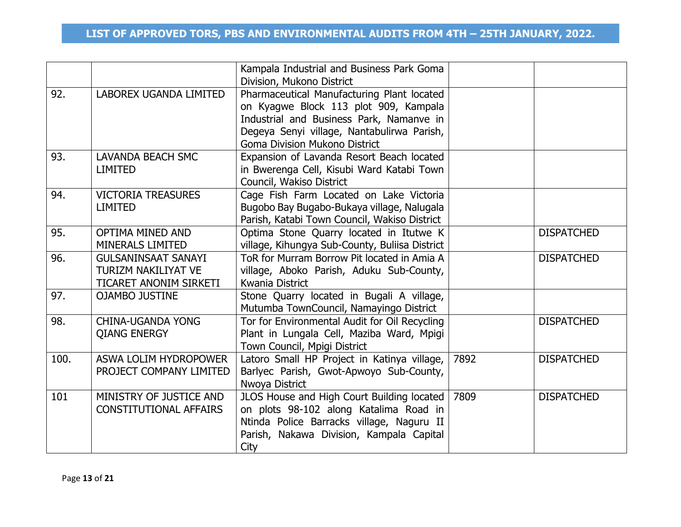|      |                                                                                    | Kampala Industrial and Business Park Goma<br>Division, Mukono District                                                                                                                                         |      |                   |
|------|------------------------------------------------------------------------------------|----------------------------------------------------------------------------------------------------------------------------------------------------------------------------------------------------------------|------|-------------------|
| 92.  | LABOREX UGANDA LIMITED                                                             | Pharmaceutical Manufacturing Plant located<br>on Kyagwe Block 113 plot 909, Kampala<br>Industrial and Business Park, Namanve in<br>Degeya Senyi village, Nantabulirwa Parish,<br>Goma Division Mukono District |      |                   |
| 93.  | <b>LAVANDA BEACH SMC</b><br><b>LIMITED</b>                                         | Expansion of Lavanda Resort Beach located<br>in Bwerenga Cell, Kisubi Ward Katabi Town<br>Council, Wakiso District                                                                                             |      |                   |
| 94.  | <b>VICTORIA TREASURES</b><br><b>LIMITED</b>                                        | Cage Fish Farm Located on Lake Victoria<br>Bugobo Bay Bugabo-Bukaya village, Nalugala<br>Parish, Katabi Town Council, Wakiso District                                                                          |      |                   |
| 95.  | <b>OPTIMA MINED AND</b><br><b>MINERALS LIMITED</b>                                 | Optima Stone Quarry located in Itutwe K<br>village, Kihungya Sub-County, Buliisa District                                                                                                                      |      | <b>DISPATCHED</b> |
| 96.  | <b>GULSANINSAAT SANAYI</b><br><b>TURIZM NAKILIYAT VE</b><br>TICARET ANONIM SIRKETI | ToR for Murram Borrow Pit located in Amia A<br>village, Aboko Parish, Aduku Sub-County,<br>Kwania District                                                                                                     |      | <b>DISPATCHED</b> |
| 97.  | <b>OJAMBO JUSTINE</b>                                                              | Stone Quarry located in Bugali A village,<br>Mutumba TownCouncil, Namayingo District                                                                                                                           |      |                   |
| 98.  | <b>CHINA-UGANDA YONG</b><br><b>QIANG ENERGY</b>                                    | Tor for Environmental Audit for Oil Recycling<br>Plant in Lungala Cell, Maziba Ward, Mpigi<br>Town Council, Mpigi District                                                                                     |      | <b>DISPATCHED</b> |
| 100. | ASWA LOLIM HYDROPOWER<br>PROJECT COMPANY LIMITED                                   | Latoro Small HP Project in Katinya village,<br>Barlyec Parish, Gwot-Apwoyo Sub-County,<br>Nwoya District                                                                                                       | 7892 | <b>DISPATCHED</b> |
| 101  | MINISTRY OF JUSTICE AND<br><b>CONSTITUTIONAL AFFAIRS</b>                           | JLOS House and High Court Building located<br>on plots 98-102 along Katalima Road in<br>Ntinda Police Barracks village, Naguru II<br>Parish, Nakawa Division, Kampala Capital<br>City                          | 7809 | <b>DISPATCHED</b> |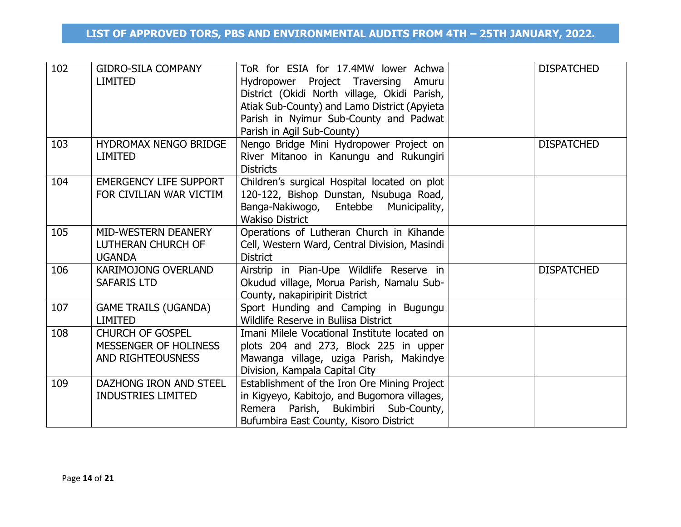| 102 | <b>GIDRO-SILA COMPANY</b><br><b>LIMITED</b>                                  | ToR for ESIA for 17.4MW lower Achwa<br>Project Traversing<br>Hydropower<br>Amuru<br>District (Okidi North village, Okidi Parish,<br>Atiak Sub-County) and Lamo District (Apyieta<br>Parish in Nyimur Sub-County and Padwat<br>Parish in Agil Sub-County) | <b>DISPATCHED</b> |
|-----|------------------------------------------------------------------------------|----------------------------------------------------------------------------------------------------------------------------------------------------------------------------------------------------------------------------------------------------------|-------------------|
| 103 | HYDROMAX NENGO BRIDGE<br><b>LIMITED</b>                                      | Nengo Bridge Mini Hydropower Project on<br>River Mitanoo in Kanungu and Rukungiri<br><b>Districts</b>                                                                                                                                                    | <b>DISPATCHED</b> |
| 104 | <b>EMERGENCY LIFE SUPPORT</b><br>FOR CIVILIAN WAR VICTIM                     | Children's surgical Hospital located on plot<br>120-122, Bishop Dunstan, Nsubuga Road,<br>Banga-Nakiwogo, Entebbe Municipality,<br><b>Wakiso District</b>                                                                                                |                   |
| 105 | MID-WESTERN DEANERY<br>LUTHERAN CHURCH OF<br><b>UGANDA</b>                   | Operations of Lutheran Church in Kihande<br>Cell, Western Ward, Central Division, Masindi<br><b>District</b>                                                                                                                                             |                   |
| 106 | <b>KARIMOJONG OVERLAND</b><br><b>SAFARIS LTD</b>                             | Airstrip in Pian-Upe Wildlife Reserve in<br>Okudud village, Morua Parish, Namalu Sub-<br>County, nakapiripirit District                                                                                                                                  | <b>DISPATCHED</b> |
| 107 | <b>GAME TRAILS (UGANDA)</b><br><b>LIMITED</b>                                | Sport Hunding and Camping in Bugungu<br>Wildlife Reserve in Buliisa District                                                                                                                                                                             |                   |
| 108 | <b>CHURCH OF GOSPEL</b><br>MESSENGER OF HOLINESS<br><b>AND RIGHTEOUSNESS</b> | Imani Milele Vocational Institute located on<br>plots 204 and 273, Block 225 in upper<br>Mawanga village, uziga Parish, Makindye<br>Division, Kampala Capital City                                                                                       |                   |
| 109 | DAZHONG IRON AND STEEL<br><b>INDUSTRIES LIMITED</b>                          | Establishment of the Iron Ore Mining Project<br>in Kigyeyo, Kabitojo, and Bugomora villages,<br>Remera Parish, Bukimbiri Sub-County,<br>Bufumbira East County, Kisoro District                                                                           |                   |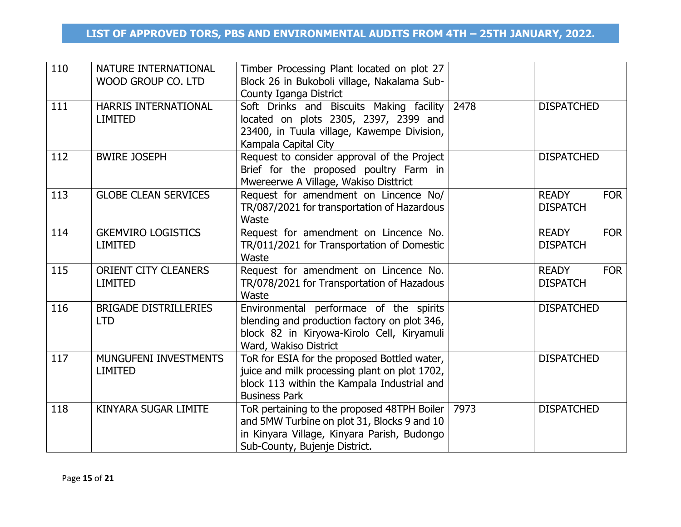| 110 | NATURE INTERNATIONAL<br>WOOD GROUP CO. LTD    | Timber Processing Plant located on plot 27<br>Block 26 in Bukoboli village, Nakalama Sub-<br>County Iganga District                                                        |      |                                               |
|-----|-----------------------------------------------|----------------------------------------------------------------------------------------------------------------------------------------------------------------------------|------|-----------------------------------------------|
| 111 | HARRIS INTERNATIONAL<br><b>LIMITED</b>        | Soft Drinks and Biscuits Making facility 2478<br>located on plots 2305, 2397, 2399 and<br>23400, in Tuula village, Kawempe Division,<br>Kampala Capital City               |      | <b>DISPATCHED</b>                             |
| 112 | <b>BWIRE JOSEPH</b>                           | Request to consider approval of the Project<br>Brief for the proposed poultry Farm in<br>Mwereerwe A Village, Wakiso Disttrict                                             |      | <b>DISPATCHED</b>                             |
| 113 | <b>GLOBE CLEAN SERVICES</b>                   | Request for amendment on Lincence No/<br>TR/087/2021 for transportation of Hazardous<br>Waste                                                                              |      | <b>READY</b><br><b>FOR</b><br><b>DISPATCH</b> |
| 114 | <b>GKEMVIRO LOGISTICS</b><br><b>LIMITED</b>   | Request for amendment on Lincence No.<br>TR/011/2021 for Transportation of Domestic<br>Waste                                                                               |      | <b>READY</b><br><b>FOR</b><br><b>DISPATCH</b> |
| 115 | <b>ORIENT CITY CLEANERS</b><br><b>LIMITED</b> | Request for amendment on Lincence No.<br>TR/078/2021 for Transportation of Hazadous<br>Waste                                                                               |      | <b>FOR</b><br><b>READY</b><br><b>DISPATCH</b> |
| 116 | <b>BRIGADE DISTRILLERIES</b><br><b>LTD</b>    | Environmental performace of the spirits<br>blending and production factory on plot 346,<br>block 82 in Kiryowa-Kirolo Cell, Kiryamuli<br>Ward, Wakiso District             |      | <b>DISPATCHED</b>                             |
| 117 | MUNGUFENI INVESTMENTS<br><b>LIMITED</b>       | ToR for ESIA for the proposed Bottled water,<br>juice and milk processing plant on plot 1702,<br>block 113 within the Kampala Industrial and<br><b>Business Park</b>       |      | <b>DISPATCHED</b>                             |
| 118 | KINYARA SUGAR LIMITE                          | ToR pertaining to the proposed 48TPH Boiler<br>and 5MW Turbine on plot 31, Blocks 9 and 10<br>in Kinyara Village, Kinyara Parish, Budongo<br>Sub-County, Bujenje District. | 7973 | <b>DISPATCHED</b>                             |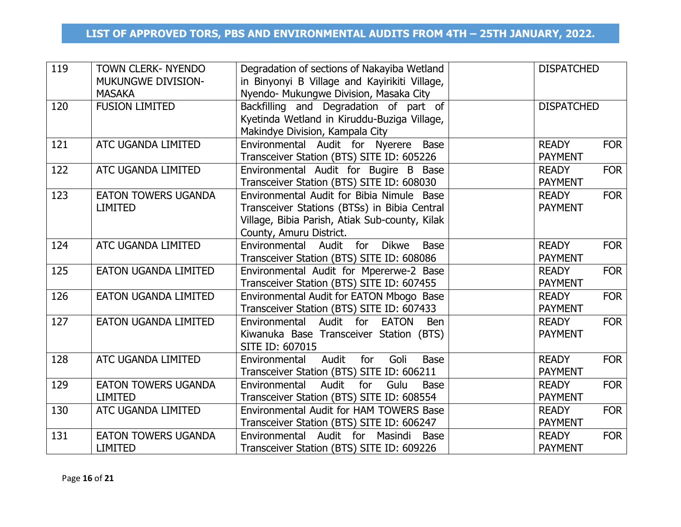| 119 | <b>TOWN CLERK- NYENDO</b><br><b>MUKUNGWE DIVISION-</b><br><b>MASAKA</b> | Degradation of sections of Nakayiba Wetland<br>in Binyonyi B Village and Kayirikiti Village,<br>Nyendo- Mukungwe Division, Masaka City                                 | <b>DISPATCHED</b>              |            |
|-----|-------------------------------------------------------------------------|------------------------------------------------------------------------------------------------------------------------------------------------------------------------|--------------------------------|------------|
| 120 | <b>FUSION LIMITED</b>                                                   | Backfilling and Degradation of part of<br>Kyetinda Wetland in Kiruddu-Buziga Village,<br>Makindye Division, Kampala City                                               | <b>DISPATCHED</b>              |            |
| 121 | <b>ATC UGANDA LIMITED</b>                                               | Environmental Audit for Nyerere Base<br>Transceiver Station (BTS) SITE ID: 605226                                                                                      | <b>READY</b><br><b>PAYMENT</b> | <b>FOR</b> |
| 122 | ATC UGANDA LIMITED                                                      | Environmental Audit for Bugire B Base<br>Transceiver Station (BTS) SITE ID: 608030                                                                                     | <b>READY</b><br><b>PAYMENT</b> | <b>FOR</b> |
| 123 | <b>EATON TOWERS UGANDA</b><br><b>LIMITED</b>                            | Environmental Audit for Bibia Nimule Base<br>Transceiver Stations (BTSs) in Bibia Central<br>Village, Bibia Parish, Atiak Sub-county, Kilak<br>County, Amuru District. | <b>READY</b><br><b>PAYMENT</b> | <b>FOR</b> |
| 124 | ATC UGANDA LIMITED                                                      | <b>Dikwe</b><br>Environmental Audit<br>for<br><b>Base</b><br>Transceiver Station (BTS) SITE ID: 608086                                                                 | <b>READY</b><br><b>PAYMENT</b> | <b>FOR</b> |
| 125 | <b>EATON UGANDA LIMITED</b>                                             | Environmental Audit for Mpererwe-2 Base<br>Transceiver Station (BTS) SITE ID: 607455                                                                                   | <b>READY</b><br><b>PAYMENT</b> | <b>FOR</b> |
| 126 | <b>EATON UGANDA LIMITED</b>                                             | Environmental Audit for EATON Mbogo Base<br>Transceiver Station (BTS) SITE ID: 607433                                                                                  | <b>READY</b><br><b>PAYMENT</b> | <b>FOR</b> |
| 127 | <b>EATON UGANDA LIMITED</b>                                             | Environmental Audit for EATON<br><b>Ben</b><br>Kiwanuka Base Transceiver Station (BTS)<br>SITE ID: 607015                                                              | <b>READY</b><br><b>PAYMENT</b> | <b>FOR</b> |
| 128 | ATC UGANDA LIMITED                                                      | Audit<br>for<br>Goli<br>Environmental<br><b>Base</b><br>Transceiver Station (BTS) SITE ID: 606211                                                                      | <b>READY</b><br><b>PAYMENT</b> | <b>FOR</b> |
| 129 | <b>EATON TOWERS UGANDA</b><br><b>LIMITED</b>                            | Audit<br>for<br>Gulu<br>Environmental<br><b>Base</b><br>Transceiver Station (BTS) SITE ID: 608554                                                                      | <b>READY</b><br><b>PAYMENT</b> | <b>FOR</b> |
| 130 | <b>ATC UGANDA LIMITED</b>                                               | Environmental Audit for HAM TOWERS Base<br>Transceiver Station (BTS) SITE ID: 606247                                                                                   | <b>READY</b><br><b>PAYMENT</b> | <b>FOR</b> |
| 131 | <b>EATON TOWERS UGANDA</b><br><b>LIMITED</b>                            | Environmental Audit for Masindi<br><b>Base</b><br>Transceiver Station (BTS) SITE ID: 609226                                                                            | <b>READY</b><br><b>PAYMENT</b> | <b>FOR</b> |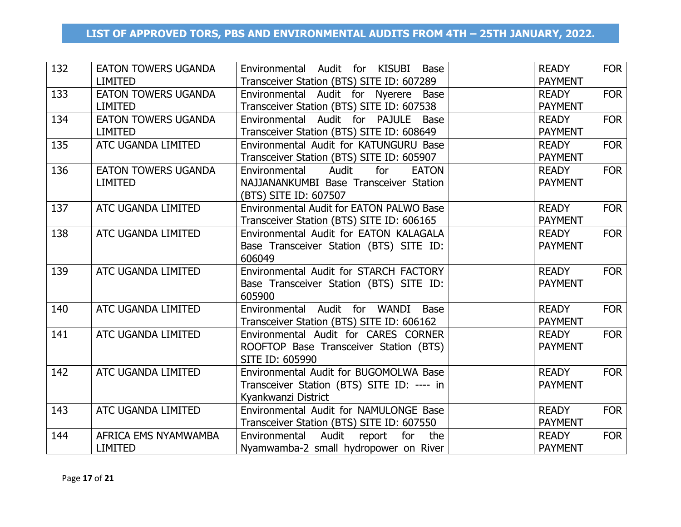| 132 | <b>EATON TOWERS UGANDA</b> | Environmental Audit for KISUBI<br>Base        | <b>READY</b>   | <b>FOR</b> |
|-----|----------------------------|-----------------------------------------------|----------------|------------|
|     | <b>LIMITED</b>             | Transceiver Station (BTS) SITE ID: 607289     | <b>PAYMENT</b> |            |
| 133 | <b>EATON TOWERS UGANDA</b> | Environmental Audit for Nyerere Base          | <b>READY</b>   | <b>FOR</b> |
|     | <b>LIMITED</b>             | Transceiver Station (BTS) SITE ID: 607538     | <b>PAYMENT</b> |            |
| 134 | <b>EATON TOWERS UGANDA</b> | Environmental Audit for PAJULE Base           | <b>READY</b>   | <b>FOR</b> |
|     | <b>LIMITED</b>             | Transceiver Station (BTS) SITE ID: 608649     | <b>PAYMENT</b> |            |
| 135 | ATC UGANDA LIMITED         | Environmental Audit for KATUNGURU Base        | <b>READY</b>   | <b>FOR</b> |
|     |                            | Transceiver Station (BTS) SITE ID: 605907     | <b>PAYMENT</b> |            |
| 136 | <b>EATON TOWERS UGANDA</b> | Environmental<br>Audit<br>for<br><b>EATON</b> | <b>READY</b>   | <b>FOR</b> |
|     | <b>LIMITED</b>             | NAJJANANKUMBI Base Transceiver Station        | <b>PAYMENT</b> |            |
|     |                            | (BTS) SITE ID: 607507                         |                |            |
| 137 | ATC UGANDA LIMITED         | Environmental Audit for EATON PALWO Base      | <b>READY</b>   | <b>FOR</b> |
|     |                            | Transceiver Station (BTS) SITE ID: 606165     | <b>PAYMENT</b> |            |
| 138 | ATC UGANDA LIMITED         | Environmental Audit for EATON KALAGALA        | <b>READY</b>   | <b>FOR</b> |
|     |                            | Base Transceiver Station (BTS) SITE ID:       | <b>PAYMENT</b> |            |
|     |                            | 606049                                        |                |            |
| 139 | ATC UGANDA LIMITED         | Environmental Audit for STARCH FACTORY        | <b>READY</b>   | <b>FOR</b> |
|     |                            | Base Transceiver Station (BTS) SITE ID:       | <b>PAYMENT</b> |            |
|     |                            | 605900                                        |                |            |
| 140 | ATC UGANDA LIMITED         | Environmental Audit for WANDI Base            | <b>READY</b>   | <b>FOR</b> |
|     |                            | Transceiver Station (BTS) SITE ID: 606162     | <b>PAYMENT</b> |            |
| 141 | ATC UGANDA LIMITED         | Environmental Audit for CARES CORNER          | <b>READY</b>   | <b>FOR</b> |
|     |                            | ROOFTOP Base Transceiver Station (BTS)        | <b>PAYMENT</b> |            |
|     |                            | SITE ID: 605990                               |                |            |
| 142 | ATC UGANDA LIMITED         | Environmental Audit for BUGOMOLWA Base        | <b>READY</b>   | <b>FOR</b> |
|     |                            | Transceiver Station (BTS) SITE ID: ---- in    | <b>PAYMENT</b> |            |
|     |                            | Kyankwanzi District                           |                |            |
| 143 | ATC UGANDA LIMITED         | Environmental Audit for NAMULONGE Base        | <b>READY</b>   | <b>FOR</b> |
|     |                            | Transceiver Station (BTS) SITE ID: 607550     | <b>PAYMENT</b> |            |
| 144 | AFRICA EMS NYAMWAMBA       | Environmental<br>Audit report<br>for<br>the   | <b>READY</b>   | <b>FOR</b> |
|     | <b>LIMITED</b>             | Nyamwamba-2 small hydropower on River         | <b>PAYMENT</b> |            |
|     |                            |                                               |                |            |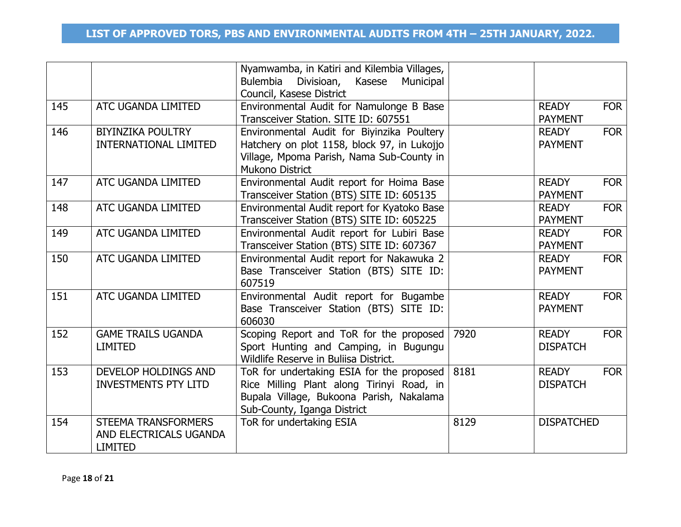|     |                                                                 | Nyamwamba, in Katiri and Kilembia Villages,<br>Bulembia<br>Kasese<br>Divisioan,<br>Municipal<br>Council, Kasese District                                          |      |                                               |
|-----|-----------------------------------------------------------------|-------------------------------------------------------------------------------------------------------------------------------------------------------------------|------|-----------------------------------------------|
| 145 | ATC UGANDA LIMITED                                              | Environmental Audit for Namulonge B Base<br>Transceiver Station. SITE ID: 607551                                                                                  |      | <b>READY</b><br><b>FOR</b><br><b>PAYMENT</b>  |
| 146 | <b>BIYINZIKA POULTRY</b><br><b>INTERNATIONAL LIMITED</b>        | Environmental Audit for Biyinzika Poultery<br>Hatchery on plot 1158, block 97, in Lukojjo<br>Village, Mpoma Parish, Nama Sub-County in<br><b>Mukono District</b>  |      | <b>FOR</b><br><b>READY</b><br><b>PAYMENT</b>  |
| 147 | ATC UGANDA LIMITED                                              | Environmental Audit report for Hoima Base<br>Transceiver Station (BTS) SITE ID: 605135                                                                            |      | <b>READY</b><br><b>FOR</b><br><b>PAYMENT</b>  |
| 148 | ATC UGANDA LIMITED                                              | Environmental Audit report for Kyatoko Base<br>Transceiver Station (BTS) SITE ID: 605225                                                                          |      | <b>FOR</b><br><b>READY</b><br><b>PAYMENT</b>  |
| 149 | ATC UGANDA LIMITED                                              | Environmental Audit report for Lubiri Base<br>Transceiver Station (BTS) SITE ID: 607367                                                                           |      | <b>FOR</b><br><b>READY</b><br><b>PAYMENT</b>  |
| 150 | ATC UGANDA LIMITED                                              | Environmental Audit report for Nakawuka 2<br>Base Transceiver Station (BTS) SITE ID:<br>607519                                                                    |      | <b>FOR</b><br><b>READY</b><br><b>PAYMENT</b>  |
| 151 | ATC UGANDA LIMITED                                              | Environmental Audit report for Bugambe<br>Base Transceiver Station (BTS) SITE ID:<br>606030                                                                       |      | <b>FOR</b><br><b>READY</b><br><b>PAYMENT</b>  |
| 152 | <b>GAME TRAILS UGANDA</b><br><b>LIMITED</b>                     | Scoping Report and ToR for the proposed<br>Sport Hunting and Camping, in Bugungu<br>Wildlife Reserve in Buliisa District.                                         | 7920 | <b>READY</b><br><b>FOR</b><br><b>DISPATCH</b> |
| 153 | <b>DEVELOP HOLDINGS AND</b><br><b>INVESTMENTS PTY LITD</b>      | ToR for undertaking ESIA for the proposed<br>Rice Milling Plant along Tirinyi Road, in<br>Bupala Village, Bukoona Parish, Nakalama<br>Sub-County, Iganga District | 8181 | <b>FOR</b><br><b>READY</b><br><b>DISPATCH</b> |
| 154 | STEEMA TRANSFORMERS<br>AND ELECTRICALS UGANDA<br><b>LIMITED</b> | ToR for undertaking ESIA                                                                                                                                          | 8129 | <b>DISPATCHED</b>                             |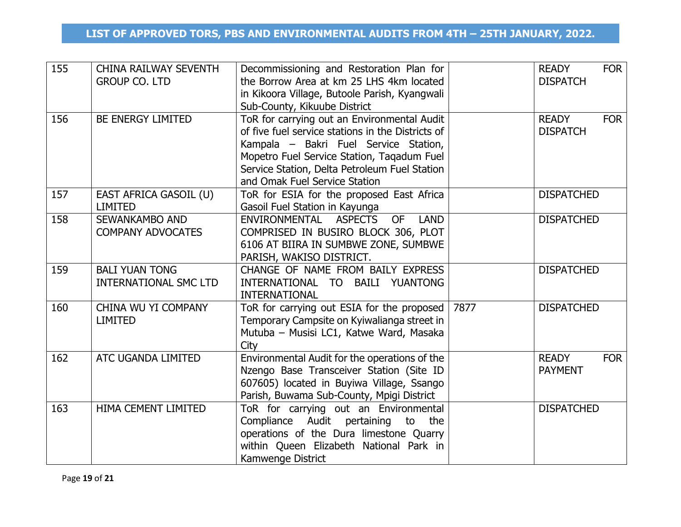| 155 | <b>CHINA RAILWAY SEVENTH</b><br><b>GROUP CO. LTD</b>  | Decommissioning and Restoration Plan for<br>the Borrow Area at km 25 LHS 4km located<br>in Kikoora Village, Butoole Parish, Kyangwali<br>Sub-County, Kikuube District                                                                                                     |      | <b>READY</b><br><b>FOR</b><br><b>DISPATCH</b> |
|-----|-------------------------------------------------------|---------------------------------------------------------------------------------------------------------------------------------------------------------------------------------------------------------------------------------------------------------------------------|------|-----------------------------------------------|
| 156 | BE ENERGY LIMITED                                     | ToR for carrying out an Environmental Audit<br>of five fuel service stations in the Districts of<br>Kampala – Bakri Fuel Service Station,<br>Mopetro Fuel Service Station, Tagadum Fuel<br>Service Station, Delta Petroleum Fuel Station<br>and Omak Fuel Service Station |      | <b>READY</b><br><b>FOR</b><br><b>DISPATCH</b> |
| 157 | EAST AFRICA GASOIL (U)<br><b>LIMITED</b>              | ToR for ESIA for the proposed East Africa<br>Gasoil Fuel Station in Kayunga                                                                                                                                                                                               |      | <b>DISPATCHED</b>                             |
| 158 | SEWANKAMBO AND<br><b>COMPANY ADVOCATES</b>            | <b>ASPECTS</b><br><b>OF</b><br><b>LAND</b><br>ENVIRONMENTAL<br>COMPRISED IN BUSIRO BLOCK 306, PLOT<br>6106 AT BIIRA IN SUMBWE ZONE, SUMBWE<br>PARISH, WAKISO DISTRICT.                                                                                                    |      | <b>DISPATCHED</b>                             |
| 159 | <b>BALI YUAN TONG</b><br><b>INTERNATIONAL SMC LTD</b> | CHANGE OF NAME FROM BAILY EXPRESS<br>INTERNATIONAL TO BAILI YUANTONG<br><b>INTERNATIONAL</b>                                                                                                                                                                              |      | <b>DISPATCHED</b>                             |
| 160 | CHINA WU YI COMPANY<br><b>LIMITED</b>                 | ToR for carrying out ESIA for the proposed<br>Temporary Campsite on Kyiwalianga street in<br>Mutuba - Musisi LC1, Katwe Ward, Masaka<br>City                                                                                                                              | 7877 | <b>DISPATCHED</b>                             |
| 162 | ATC UGANDA LIMITED                                    | Environmental Audit for the operations of the<br>Nzengo Base Transceiver Station (Site ID<br>607605) located in Buyiwa Village, Ssango<br>Parish, Buwama Sub-County, Mpigi District                                                                                       |      | <b>READY</b><br><b>FOR</b><br><b>PAYMENT</b>  |
| 163 | HIMA CEMENT LIMITED                                   | ToR for carrying out an Environmental<br>Compliance Audit pertaining to the<br>operations of the Dura limestone Quarry<br>within Queen Elizabeth National Park in<br>Kamwenge District                                                                                    |      | <b>DISPATCHED</b>                             |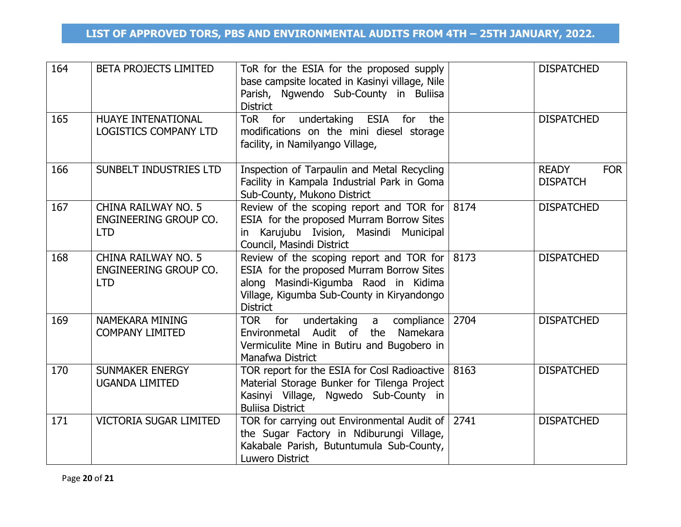| 164 | <b>BETA PROJECTS LIMITED</b>                               | ToR for the ESIA for the proposed supply<br>base campsite located in Kasinyi village, Nile<br>Parish, Ngwendo Sub-County in Buliisa<br><b>District</b>                                                        |      | <b>DISPATCHED</b>                             |
|-----|------------------------------------------------------------|---------------------------------------------------------------------------------------------------------------------------------------------------------------------------------------------------------------|------|-----------------------------------------------|
| 165 | HUAYE INTENATIONAL<br><b>LOGISTICS COMPANY LTD</b>         | ToR for undertaking ESIA for<br>the<br>modifications on the mini diesel storage<br>facility, in Namilyango Village,                                                                                           |      | <b>DISPATCHED</b>                             |
| 166 | SUNBELT INDUSTRIES LTD                                     | Inspection of Tarpaulin and Metal Recycling<br>Facility in Kampala Industrial Park in Goma<br>Sub-County, Mukono District                                                                                     |      | <b>READY</b><br><b>FOR</b><br><b>DISPATCH</b> |
| 167 | CHINA RAILWAY NO. 5<br>ENGINEERING GROUP CO.<br><b>LTD</b> | Review of the scoping report and TOR for $ 8174 $<br>ESIA for the proposed Murram Borrow Sites<br>in Karujubu Ivision, Masindi Municipal<br>Council, Masindi District                                         |      | <b>DISPATCHED</b>                             |
| 168 | CHINA RAILWAY NO. 5<br>ENGINEERING GROUP CO.<br><b>LTD</b> | Review of the scoping report and TOR for $ 8173\rangle$<br>ESIA for the proposed Murram Borrow Sites<br>along Masindi-Kigumba Raod in Kidima<br>Village, Kigumba Sub-County in Kiryandongo<br><b>District</b> |      | <b>DISPATCHED</b>                             |
| 169 | NAMEKARA MINING<br><b>COMPANY LIMITED</b>                  | TOR for<br>undertaking<br>compliance<br>a<br>Audit of<br>Namekara<br>Environmetal<br>the<br>Vermiculite Mine in Butiru and Bugobero in<br>Manafwa District                                                    | 2704 | <b>DISPATCHED</b>                             |
| 170 | <b>SUNMAKER ENERGY</b><br><b>UGANDA LIMITED</b>            | TOR report for the ESIA for Cosl Radioactive   8163<br>Material Storage Bunker for Tilenga Project<br>Kasinyi Village, Ngwedo Sub-County in<br><b>Buliisa District</b>                                        |      | <b>DISPATCHED</b>                             |
| 171 | <b>VICTORIA SUGAR LIMITED</b>                              | TOR for carrying out Environmental Audit of 2741<br>the Sugar Factory in Ndiburungi Village,<br>Kakabale Parish, Butuntumula Sub-County,<br>Luwero District                                                   |      | <b>DISPATCHED</b>                             |